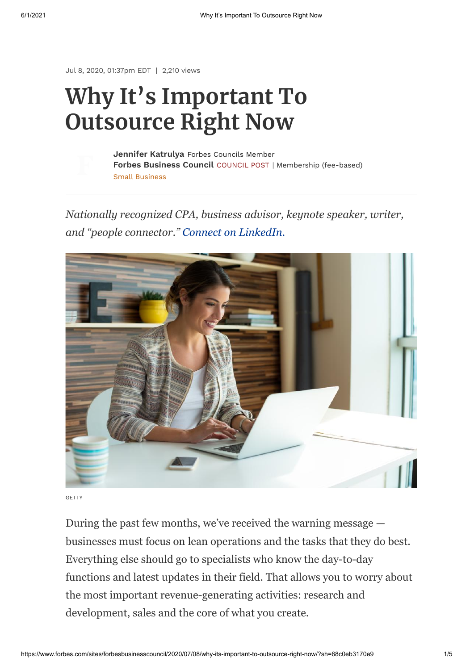Jul 8, 2020, 01:37pm EDT | 2,210 views

# **Why It's Important To Outsource Right Now**

Small [Business](https://www.forbes.com/small-business) **Jennifer [Katrulya](https://www.forbes.com/sites/forbesbusinesscouncil/people/jenniferkatrulya/)** Forbes Councils Member **Forbes [Business](https://www.forbes.com/sites/forbesbusinesscouncil/) Council** COUNCIL POST | Membership (fee-based)

*Nationally recognized CPA, business advisor, keynote speaker, writer, and "people connector." [Connect on LinkedIn.](https://www.linkedin.com/in/jenkat/)*



**GETTY** 

During the past few months, we've received the warning message businesses must focus on lean operations and the tasks that they do best. Everything else should go to specialists who know the day-to-day functions and latest updates in their field. That allows you to worry about the most important revenue-generating activities: research and development, sales and the core of what you create.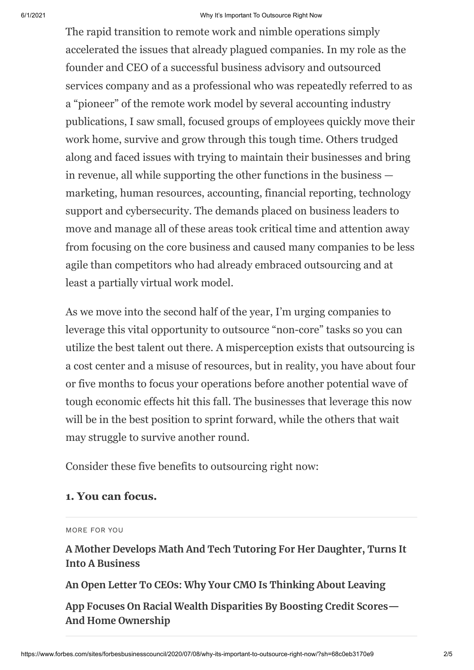The rapid transition to remote work and nimble operations simply accelerated the issues that already plagued companies. In my role as the founder and CEO of a successful business advisory and outsourced services company and as a professional who was repeatedly referred to as a "pioneer" of the remote work model by several accounting industry publications, I saw small, focused groups of employees quickly move their work home, survive and grow through this tough time. Others trudged along and faced issues with trying to maintain their businesses and bring in revenue, all while supporting the other functions in the business marketing, human resources, accounting, financial reporting, technology support and cybersecurity. The demands placed on business leaders to move and manage all of these areas took critical time and attention away from focusing on the core business and caused many companies to be less agile than competitors who had already embraced outsourcing and at least a partially virtual work model.

As we move into the second half of the year, I'm urging companies to leverage this vital opportunity to outsource "non-core" tasks so you can utilize the best talent out there. A misperception exists that outsourcing is a cost center and a misuse of resources, but in reality, you have about four or five months to focus your operations before another potential wave of tough economic effects hit this fall. The businesses that leverage this now will be in the best position to sprint forward, while the others that wait may struggle to survive another round.

Consider these five benefits to outsourcing right now:

#### **1. You can focus.**

MORE FOR YOU

**[A Mother Develops Math And Tech Tutoring For Her Daughter, Turns It](https://www.forbes.com/sites/annefield/2021/05/31/a-mother-develops-math-and-tech-tutoring-for-her-daughter-turns-it-into-a-business/) Into A Business**

**[An Open Letter To CEOs: Why Your CMO Is Thinking About Leaving](https://www.forbes.com/sites/shamahyder/2021/05/27/an-open-letter-to-ceos-why-your-cmo-is-thinking-about-leaving/)**

**[App Focuses On Racial Wealth Disparities By Boosting Credit Scores—](https://www.forbes.com/sites/annefield/2021/05/29/app-focuses-on-closing-the-racial-wealth-gap-by-boosting-home-ownership/) And Home Ownership**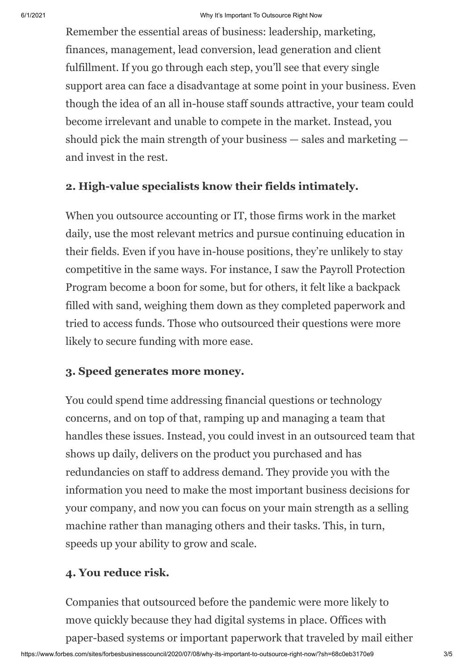Remember the essential areas of business: leadership, marketing, finances, management, lead conversion, lead generation and client fulfillment. If you go through each step, you'll see that every single support area can face a disadvantage at some point in your business. Even though the idea of an all in-house staff sounds attractive, your team could become irrelevant and unable to compete in the market. Instead, you should pick the main strength of your business — sales and marketing and invest in the rest.

# **2. High-value specialists know their fields intimately.**

When you outsource accounting or IT, those firms work in the market daily, use the most relevant metrics and pursue continuing education in their fields. Even if you have in-house positions, they're unlikely to stay competitive in the same ways. For instance, I saw the Payroll Protection Program become a boon for some, but for others, it felt like a backpack filled with sand, weighing them down as they completed paperwork and tried to access funds. Those who outsourced their questions were more likely to secure funding with more ease.

## **3. Speed generates more money.**

You could spend time addressing financial questions or technology concerns, and on top of that, ramping up and managing a team that handles these issues. Instead, you could invest in an outsourced team that shows up daily, delivers on the product you purchased and has redundancies on staff to address demand. They provide you with the information you need to make the most important business decisions for your company, and now you can focus on your main strength as a selling machine rather than managing others and their tasks. This, in turn, speeds up your ability to grow and scale.

## **4. You reduce risk.**

Companies that outsourced before the pandemic were more likely to move quickly because they had digital systems in place. Offices with paper-based systems or important paperwork that traveled by mail either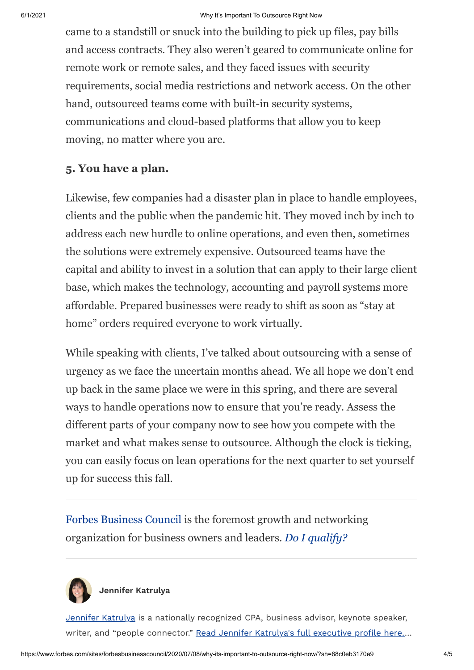came to a standstill or snuck into the building to pick up files, pay bills and access contracts. They also weren't geared to communicate online for remote work or remote sales, and they faced issues with security requirements, social media restrictions and network access. On the other hand, outsourced teams come with built-in security systems, communications and cloud-based platforms that allow you to keep moving, no matter where you are.

#### **5. You have a plan.**

Likewise, few companies had a disaster plan in place to handle employees, clients and the public when the pandemic hit. They moved inch by inch to address each new hurdle to online operations, and even then, sometimes the solutions were extremely expensive. Outsourced teams have the capital and ability to invest in a solution that can apply to their large client base, which makes the technology, accounting and payroll systems more affordable. Prepared businesses were ready to shift as soon as "stay at home" orders required everyone to work virtually.

While speaking with clients, I've talked about outsourcing with a sense of urgency as we face the uncertain months ahead. We all hope we don't end up back in the same place we were in this spring, and there are several ways to handle operations now to ensure that you're ready. Assess the different parts of your company now to see how you compete with the market and what makes sense to outsource. Although the clock is ticking, you can easily focus on lean operations for the next quarter to set yourself up for success this fall.

[Forbes Business Council](https://councils.forbes.com/forbesbusinesscouncil?utm_source=forbes.com&utm_medium=referral&utm_campaign=forbes-links&utm_content=in-article-ad-links) is the foremost growth and networking organization for business owners and leaders. *[Do I qualify?](https://councils.forbes.com/qualify?utm_source=forbes.com&utm_medium=referral&utm_campaign=forbes-links&utm_term=fbc&utm_content=in-article-ad-links)*



[Jennifer](https://www.linkedin.com/in/jenkat/) Katrulya is a nationally recognized CPA, business advisor, keynote speaker, writer, and "people connector." Read Jennifer [Katrulya's](https://profiles.forbes.com/u/0f2604b0-b49c-4585-a0dc-8c5897c4faa9) full executive profile here....